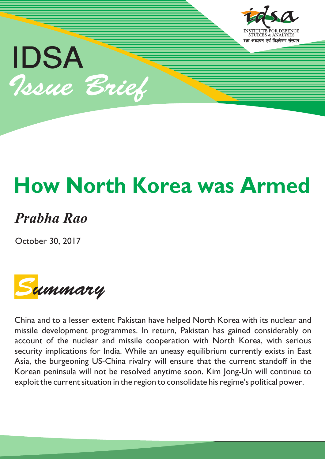

# **How North Korea was Armed**

# *Prabha Rao*

October 30, 2017



China and to a lesser extent Pakistan have helped North Korea with its nuclear and missile development programmes. In return, Pakistan has gained considerably on account of the nuclear and missile cooperation with North Korea, with serious security implications for India. While an uneasy equilibrium currently exists in East Asia, the burgeoning US-China rivalry will ensure that the current standoff in the Korean peninsula will not be resolved anytime soon. Kim Jong-Un will continue to exploit the current situation in the region to consolidate his regime's political power.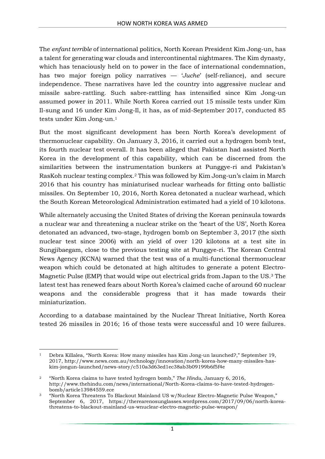The *enfant terrible* of international politics, North Korean President Kim Jong-un, has a talent for generating war clouds and intercontinental nightmares. The Kim dynasty, which has tenaciously held on to power in the face of international condemnation, has two major foreign policy narratives — '*Juche*' (self-reliance), and secure independence. These narratives have led the country into aggressive nuclear and missile sabre-rattling. Such sabre-rattling has intensified since Kim Jong-un assumed power in 2011. While North Korea carried out 15 missile tests under Kim Il-sung and 16 under Kim Jong-Il, it has, as of mid-September 2017, conducted 85 tests under Kim Jong-un.<sup>1</sup>

But the most significant development has been North Korea's development of thermonuclear capability. On January 3, 2016, it carried out a hydrogen bomb test, its fourth nuclear test overall. It has been alleged that Pakistan had assisted North Korea in the development of this capability, which can be discerned from the similarities between the instrumentation bunkers at Punggye-ri and Pakistan's RasKoh nuclear testing complex.<sup>2</sup> This was followed by Kim Jong-un's claim in March 2016 that his country has miniaturised nuclear warheads for fitting onto ballistic missiles. On September 10, 2016, North Korea detonated a nuclear warhead, which the South Korean Meteorological Administration estimated had a yield of 10 kilotons.

While alternately accusing the United States of driving the Korean peninsula towards a nuclear war and threatening a nuclear strike on the 'heart of the US', North Korea detonated an advanced, two-stage, hydrogen bomb on September 3, 2017 (the sixth nuclear test since 2006) with an yield of over 120 kilotons at a test site in Sungjibaegam, close to the previous testing site at Punggye-ri. The Korean Central News Agency (KCNA) warned that the test was of a multi-functional thermonuclear weapon which could be detonated at high altitudes to generate a potent Electro-Magnetic Pulse (EMP) that would wipe out electrical grids from Japan to the US. <sup>3</sup> The latest test has renewed fears about North Korea's claimed cache of around 60 nuclear weapons and the considerable progress that it has made towards their miniaturization.

According to a database maintained by the Nuclear Threat Initiative, North Korea tested 26 missiles in 2016; 16 of those tests were successful and 10 were failures.

<sup>1</sup> <sup>1</sup> Debra Killalea, "North Korea: How many missiles has Kim Jong-un launched?," September 19, 2017, http://www.news.com.au/technology/innovation/north-korea-how-many-missiles-haskim-jongun-launched/news-story/c510a3d63ed1ec38ab3b09199b6f5f4e

<sup>2</sup> "North Korea claims to have tested hydrogen bomb," *The Hindu*, January 6, 2016, http://www.thehindu.com/news/international/North-Korea-claims-to-have-tested-hydrogenbomb/article13984559.ece

<sup>3</sup> "North Korea Threatens To Blackout Mainland US w/Nuclear Electro-Magnetic Pulse Weapon," September 6, 2017, https://therearenosunglasses.wordpress.com/2017/09/06/north-koreathreatens-to-blackout-mainland-us-wnuclear-electro-magnetic-pulse-weapon/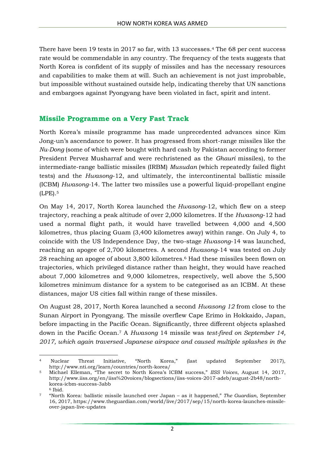There have been 19 tests in 2017 so far, with 13 successes. <sup>4</sup> The 68 per cent success rate would be commendable in any country. The frequency of the tests suggests that North Korea is confident of its supply of missiles and has the necessary resources and capabilities to make them at will. Such an achievement is not just improbable, but impossible without sustained outside help, indicating thereby that UN sanctions and embargoes against Pyongyang have been violated in fact, spirit and intent.

#### **Missile Programme on a Very Fast Track**

North Korea's missile programme has made unprecedented advances since Kim Jong-un's ascendance to power. It has progressed from short-range missiles like the *Nu-Dong* (some of which were bought with hard cash by Pakistan according to former President Pervez Musharraf and were rechristened as the *Ghauri* missiles), to the intermediate-range ballistic missiles (IRBM) *Musudan* (which repeatedly failed flight tests) and the *Hwasong*-12, and ultimately, the intercontinental ballistic missile (ICBM) *Hwasong-*14. The latter two missiles use a powerful liquid-propellant engine (LPE).<sup>5</sup>

On May 14, 2017, North Korea launched the *Hwasong*-12, which flew on a steep trajectory, reaching a peak altitude of over 2,000 kilometres. If the *Hwasong*-12 had used a normal flight path, it would have travelled between 4,000 and 4,500 kilometres, thus placing Guam (3,400 kilometres away) within range. On July 4, to coincide with the US Independence Day, the two-stage *Hwasong*-14 was launched, reaching an apogee of 2,700 kilometres. A second *Hwasong*-14 was tested on July 28 reaching an apogee of about 3,800 kilometres. <sup>6</sup> Had these missiles been flown on trajectories, which privileged distance rather than height, they would have reached about 7,000 kilometres and 9,000 kilometres, respectively, well above the 5,500 kilometres minimum distance for a system to be categorised as an ICBM. At these distances, major US cities fall within range of these missiles.

On August 28, 2017, North Korea launched a second *Hwasong 12* from close to the Sunan Airport in Pyongyang. The missile overflew Cape Erimo in Hokkaido, Japan, before impacting in the Pacific Ocean. Significantly, three different objects splashed down in the Pacific Ocean.<sup>7</sup> A *Hwasong* 14 missile was *test-fired on September 14, 2017, which again traversed Japanese airspace and caused multiple splashes in the*

 $\overline{a}$ <sup>4</sup> Nuclear Threat Initiative, "North Korea," (last updated September 2017), http://www.nti.org/learn/countries/north-korea/

<sup>5</sup> Michael Elleman, "The secret to North Korea's ICBM success," *IISS Voices*, August 14, 2017, http://www.iiss.org/en/iiss%20voices/blogsections/iiss-voices-2017-adeb/august-2b48/northkorea-icbm-success-3abb

<sup>6</sup> Ibid.

<sup>7</sup> "North Korea: ballistic missile launched over Japan – as it happened," *The Guardian*, September 16, 2017, https://www.theguardian.com/world/live/2017/sep/15/north-korea-launches-missileover-japan-live-updates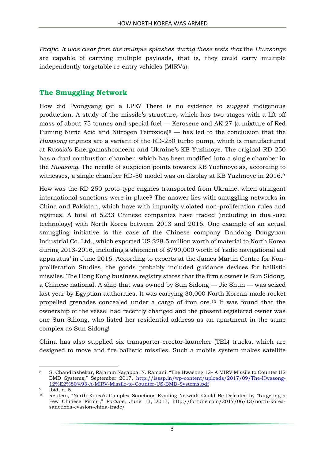*Pacific. It was clear from the multiple splashes during these tests that* the *Hwasongs* are capable of carrying multiple payloads, that is, they could carry multiple independently targetable re-entry vehicles (MIRVs).

### **The Smuggling Network**

How did Pyongyang get a LPE? There is no evidence to suggest indigenous production. A study of the missile's structure, which has two stages with a lift-off mass of about 75 tonnes and special fuel — Kerosene and AK 27 (a mixture of Red Fuming Nitric Acid and Nitrogen Tetroxide)<sup>8</sup> — has led to the conclusion that the *Hwasong* engines are a variant of the RD-250 turbo pump, which is manufactured at Russia's Energomashconcern and Ukraine's KB Yuzhnoye. The original RD-250 has a dual combustion chamber, which has been modified into a single chamber in the *Hwasong*. The needle of suspicion points towards KB Yuzhnoye as, according to witnesses, a single chamber RD-50 model was on display at KB Yuzhnoye in 2016.<sup>9</sup>

How was the RD 250 proto-type engines transported from Ukraine, when stringent international sanctions were in place? The answer lies with smuggling networks in China and Pakistan, which have with impunity violated non-proliferation rules and regimes. A total of 5233 Chinese companies have traded (including in dual-use technology) with North Korea between 2013 and 2016. One example of an actual smuggling initiative is the case of the Chinese company Dandong Dongyuan Industrial Co. Ltd., which exported US \$28.5 million worth of material to North Korea during 2013-2016, including a shipment of \$790,000 worth of 'radio navigational aid apparatus' in June 2016. According to experts at the James Martin Centre for Nonproliferation Studies, the goods probably included guidance devices for ballistic missiles. The Hong Kong business registry states that the firm's owner is Sun Sidong, a Chinese national. A ship that was owned by Sun Sidong — Jie Shun — was seized last year by Egyptian authorities. It was carrying 30,000 North Korean-made rocket propelled grenades concealed under a cargo of iron ore.<sup>10</sup> It was found that the ownership of the vessel had recently changed and the present registered owner was one Sun Sihong, who listed her residential address as an apartment in the same complex as Sun Sidong!

China has also supplied six transporter-erector-launcher (TEL) trucks, which are designed to move and fire ballistic missiles. Such a mobile system makes satellite

<sup>1</sup> <sup>8</sup> S. Chandrashekar, Rajaram Nagappa, N. Ramani, "The Hwasong 12– A MIRV Missile to Counter US BMD Systems," September 2017, [http://isssp.in/wp-content/uploads/2017/09/The-Hwasong-](http://isssp.in/wp-content/uploads/2017/09/The-Hwasong-12%E2%80%93-A-MIRV-Missile-to-Counter-US-BMD-Systems.pdf)[12%E2%80%93-A-MIRV-Missile-to-Counter-US-BMD-Systems.pdf](http://isssp.in/wp-content/uploads/2017/09/The-Hwasong-12%E2%80%93-A-MIRV-Missile-to-Counter-US-BMD-Systems.pdf)

<sup>9</sup> Ibid, n. 5.

<sup>10</sup> Reuters, "North Korea's Complex Sanctions-Evading Network Could Be Defeated by 'Targeting a Few Chinese Firms'," *Fortune,* June 13, 2017, http://fortune.com/2017/06/13/north-koreasanctions-evasion-china-trade/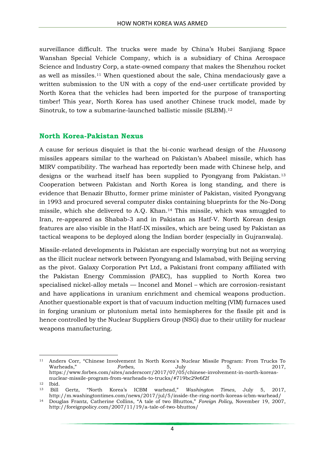surveillance difficult. The trucks were made by China's Hubei Sanjiang Space Wanshan Special Vehicle Company, which is a subsidiary of China Aerospace Science and Industry Corp, a state-owned company that makes the Shenzhou rocket as well as missiles.<sup>11</sup> When questioned about the sale, China mendaciously gave a written submission to the UN with a copy of the end-user certificate provided by North Korea that the vehicles had been imported for the purpose of transporting timber! This year, North Korea has used another Chinese truck model, made by Sinotruk, to tow a submarine-launched ballistic missile (SLBM). 12

#### **North Korea-Pakistan Nexus**

A cause for serious disquiet is that the bi-conic warhead design of the *Hwasong* missiles appears similar to the warhead on Pakistan's Ababeel missile, which has MIRV compatibility. The warhead has reportedly been made with Chinese help, and designs or the warhead itself has been supplied to Pyongyang from Pakistan.<sup>13</sup> Cooperation between Pakistan and North Korea is long standing, and there is evidence that Benazir Bhutto, former prime minister of Pakistan, visited Pyongyang in 1993 and procured several computer disks containing blueprints for the No-Dong missile, which she delivered to A.Q. Khan.<sup>14</sup> This missile, which was smuggled to Iran, re-appeared as Shabab-3 and in Pakistan as Hatf-V. North Korean design features are also visible in the Hatf-IX missiles, which are being used by Pakistan as tactical weapons to be deployed along the Indian border (especially in Gujranwala).

Missile-related developments in Pakistan are especially worrying but not as worrying as the illicit nuclear network between Pyongyang and Islamabad, with Beijing serving as the pivot. Galaxy Corporation Pvt Ltd, a Pakistani front company affiliated with the Pakistan Energy Commission (PAEC), has supplied to North Korea two specialised nickel-alloy metals — Inconel and Monel – which are corrosion-resistant and have applications in uranium enrichment and chemical weapons production. Another questionable export is that of vacuum induction melting (VIM) furnaces used in forging uranium or plutonium metal into hemispheres for the fissile pit and is hence controlled by the Nuclear Suppliers Group (NSG) due to their utility for nuclear weapons manufacturing.

 $\overline{a}$ <sup>11</sup> Anders Corr, "Chinese Involvement In North Korea's Nuclear Missile Program: From Trucks To Warheads," *Forbes*, July 5, 2017, https://www.forbes.com/sites/anderscorr/2017/07/05/chinese-involvement-in-north-koreasnuclear-missile-program-from-warheads-to-trucks/#719bc29e6f2f

 $^{12}$  Ibid.<br> $^{13}$ Bill

<sup>13</sup> Bill Gertz, "North Korea's ICBM warhead," *Washington Times*, July 5, 2017, http://m.washingtontimes.com/news/2017/jul/5/inside-the-ring-north-koreas-icbm-warhead/

<sup>14</sup> Douglas Frantz, Catherine Collins, "A tale of two Bhuttos," *Foreign Policy*, November 19, 2007, http://foreignpolicy.com/2007/11/19/a-tale-of-two-bhuttos/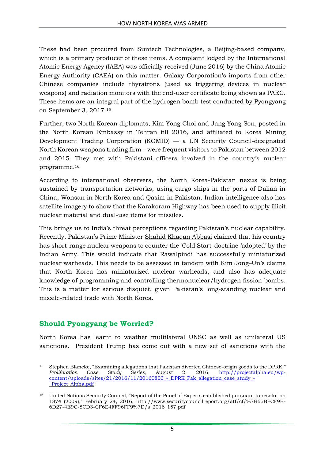These had been procured from Suntech Technologies, a Beijing-based company, which is a primary producer of these items. A complaint lodged by the International Atomic Energy Agency (IAEA) was officially received (June 2016) by the China Atomic Energy Authority (CAEA) on this matter. Galaxy Corporation's imports from other Chinese companies include thyratrons (used as triggering devices in nuclear weapons) and radiation monitors with the end-user certificate being shown as PAEC. These items are an integral part of the hydrogen bomb test conducted by Pyongyang on September 3, 2017. 15

Further, two North Korean diplomats, Kim Yong Choi and Jang Yong Son, posted in the North Korean Embassy in Tehran till 2016, and affiliated to Korea Mining Development Trading Corporation (KOMID) — a UN Security Council-designated North Korean weapons trading firm – were frequent visitors to Pakistan between 2012 and 2015. They met with Pakistani officers involved in the country's nuclear programme.<sup>16</sup>

According to international observers, the North Korea-Pakistan nexus is being sustained by transportation networks, using cargo ships in the ports of Dalian in China, Wonsan in North Korea and Qasim in Pakistan. Indian intelligence also has satellite imagery to show that the Karakoram Highway has been used to supply illicit nuclear material and dual-use items for missiles.

This brings us to India's threat perceptions regarding Pakistan's nuclear capability. Recently, Pakistan's Prime Minister Shahid [Khaqan](http://timesofindia.indiatimes.com/topic/Shahid-Khaqan-Abbasi) Abbasi claimed that his country has short-range nuclear weapons to counter the 'Cold Start' doctrine 'adopted' by the Indian Army. This would indicate that Rawalpindi has successfully miniaturized nuclear warheads. This needs to be assessed in tandem with Kim Jong–Un's claims that North Korea has miniaturized nuclear warheads, and also has adequate knowledge of programming and controlling thermonuclear/hydrogen fission bombs. This is a matter for serious disquiet, given Pakistan's long-standing nuclear and missile-related trade with North Korea.

## **Should Pyongyang be Worried?**

North Korea has learnt to weather multilateral UNSC as well as unilateral US sanctions. President Trump has come out with a new set of sanctions with the

**<sup>.</sup>** <sup>15</sup> Stephen Blancke, "Examining allegations that Pakistan diverted Chinese-origin goods to the DPRK," *Proliferation Case Study Series*, August 2, 2016, [http://projectalpha.eu/wp](http://projectalpha.eu/wp-content/uploads/sites/21/2016/11/20160803_-_DPRK_Pak_allegation_case_study_-_Project_Alpha.pdf) $content/uploads/sites/21/2016/11/20160803$  - DPRK Pak allegation case study -Project Alpha.pdf

<sup>16</sup> United Nations Security Council, "Report of the Panel of Experts established pursuant to resolution 1874 (2009)," February 24, 2016, http://www.securitycouncilreport.org/atf/cf/%7B65BFCF9B-6D27-4E9C-8CD3-CF6E4FF96FF9%7D/s\_2016\_157.pdf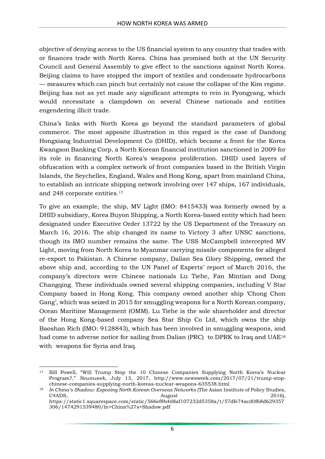objective of denying access to the US financial system to any country that trades with or finances trade with North Korea. China has promised both at the UN Security Council and General Assembly to give effect to the sanctions against North Korea. Beijing claims to have stopped the import of textiles and condensate hydrocarbons — measures which can pinch but certainly not cause the collapse of the Kim regime. Beijing has not as yet made any significant attempts to rein in Pyongyang, which would necessitate a clampdown on several Chinese nationals and entities engendering illicit trade.

China's links with North Korea go beyond the standard parameters of global commerce. The most apposite illustration in this regard is the case of Dandong Hongxiang Industrial Development Co (DHID), which became a front for the Korea Kwangson Banking Corp, a North Korean financial institution sanctioned in 2009 for its role in financing North Korea's weapons proliferation. DHID used layers of obfuscation with a complex network of front companies based in the British Virgin Islands, the Seychelles, England, Wales and Hong Kong, apart from mainland China, to establish an intricate shipping network involving over 147 ships, 167 individuals, and 248 corporate entities. 17

To give an example, the ship, MV Light (IMO: 8415433) was formerly owned by a DHID subsidiary, Korea Buyon Shipping, a North Korea-based entity which had been designated under Executive Order 13722 by the US Department of the Treasury on March 16, 2016. The ship changed its name to Victory 3 after UNSC sanctions, though its IMO number remains the same. The USS McCampbell intercepted MV Light, moving from North Korea to Myanmar carrying missile components for alleged re-export to Pakistan. A Chinese company, Dalian Sea Glory Shipping, owned the above ship and, according to the UN Panel of Experts' report of March 2016, the company's directors were Chinese nationals Lu Tiehe, Fan Mintian and Dong Changqing. These individuals owned several shipping companies, including V Star Company based in Hong Kong. This company owned another ship 'Chong Chon Gang', which was seized in 2015 for smuggling weapons for a North Korean company, Ocean Maritime Management (OMM). Lu Tiehe is the sole shareholder and director of the Hong Kong-based company Sea Star Ship Co Ltd, which owns the ship Baoshan Rich (IMO: 9128843), which has been involved in smuggling weapons, and had come to adverse notice for sailing from Dalian (PRC) to DPRK to Iraq and UAE<sup>18</sup> with weapons for Syria and Iraq.

<sup>1</sup> <sup>17</sup> Bill Powell, "Will Trump Stop the 10 Chinese Companies Supplying North Korea's Nuclear Program?," *Newsweek*, July 13, 2017, http://www.newsweek.com/2017/07/21/trump-stopchinese-companies-supplying-north-koreas-nuclear-weapons-635538.html

<sup>18</sup> *In China's Shadow: Exposing North Korean Overseas Networks* (The Asian Institute of Policy Studies, C4ADS, 2016), and the contract of the contract of the contract of the contract of the contract of the contract of the contract of the contract of the contract of the contract of the contract of the contract of the contract https://static1.squarespace.com/static/566ef8b4d8af107232d5358a/t/57dfe74acd0f68d629357 306/1474291539480/In+China%27s+Shadow.pdf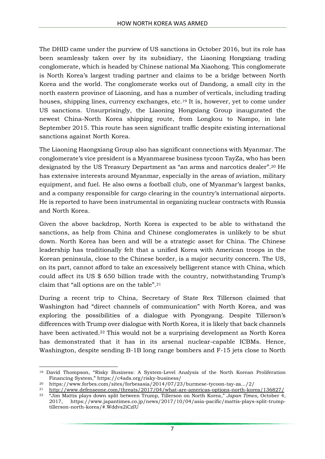The DHID came under the purview of US sanctions in October 2016, but its role has been seamlessly taken over by its subsidiary, the Liaoning Hongxiang trading conglomerate, which is headed by Chinese national Ma Xiaohong. This conglomerate is North Korea's largest trading partner and claims to be a bridge between North Korea and the world. The conglomerate works out of Dandong, a small city in the north eastern province of Liaoning, and has a number of verticals, including trading houses, shipping lines, currency exchanges, etc.<sup>19</sup> It is, however, yet to come under US sanctions. Unsurprisingly, the Liaoning Hongxiang Group inaugurated the newest China-North Korea shipping route, from Longkou to Nampo, in late September 2015. This route has seen significant traffic despite existing international sanctions against North Korea.

The Liaoning Haongxiang Group also has significant connections with Myanmar. The conglomerate's vice president is a Myanmarese business tycoon TayZa, who has been designated by the US Treasury Department as "an arms and narcotics dealer". <sup>20</sup> He has extensive interests around Myanmar, especially in the areas of aviation, military equipment, and fuel. He also owns a football club, one of Myanmar's largest banks, and a company responsible for cargo clearing in the country's international airports. He is reported to have been instrumental in organizing nuclear contracts with Russia and North Korea.

Given the above backdrop, North Korea is expected to be able to withstand the sanctions, as help from China and Chinese conglomerates is unlikely to be shut down. North Korea has been and will be a strategic asset for China. The Chinese leadership has traditionally felt that a unified Korea with American troops in the Korean peninsula, close to the Chinese border, is a major security concern. The US, on its part, cannot afford to take an excessively belligerent stance with China, which could affect its US \$ 650 billion trade with the country, notwithstanding Trump's claim that "all options are on the table".<sup>21</sup>

During a recent trip to China, Secretary of State Rex Tillerson claimed that Washington had "direct channels of communication" with North Korea, and was exploring the possibilities of a dialogue with Pyongyang. Despite Tillerson's differences with Trump over dialogue with North Korea, it is likely that back channels have been activated.<sup>22</sup> This would not be a surprising development as North Korea has demonstrated that it has in its arsenal nuclear-capable ICBMs. Hence, Washington, despite sending B-1B long range bombers and F-15 jets close to North

<sup>1</sup> <sup>19</sup> David Thompson, "Risky Business: A System-Level Analysis of the North Korean Proliferation Financing System," https://c4ads.org/risky-business/

<sup>20</sup> https://www.forbes.com/sites/forbesasia/2014/07/23/burmese-tycoon-tay-za.../2/

<sup>&</sup>lt;sup>21</sup> <http://www.defenseone.com/threats/2017/04/what-are-americas-options-north-korea/136827/><br><sup>22</sup> "Jim Mottis plays down split between Trump Tillerson on North Korea*"* Japan Times October 4

<sup>22</sup> "Jim Mattis plays down split between Trump, Tillerson on North Korea," *Japan Times*, October 4, 2017, https://www.japantimes.co.jp/news/2017/10/04/asia-pacific/mattis-plays-split-trumptillerson-north-korea/#.Wddvs2iCzIU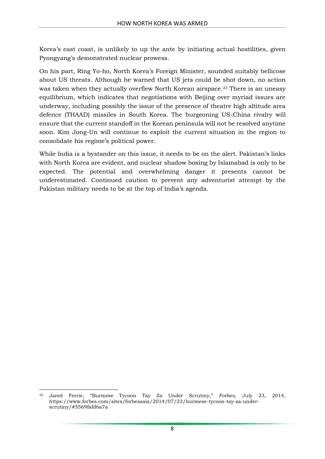Korea's east coast, is unlikely to up the ante by initiating actual hostilities, given Pyongyang's demonstrated nuclear prowess.

On his part, Ring Yo-ho, North Korea's Foreign Minister, sounded suitably bellicose about US threats. Although he warned that US jets could be shot down, no action was taken when they actually overflew North Korean airspace.<sup>23</sup> There is an uneasy equilibrium, which indicates that negotiations with Beijing over myriad issues are underway, including possibly the issue of the presence of theatre high altitude area defence (THAAD) missiles in South Korea. The burgeoning US-China rivalry will ensure that the current standoff in the Korean peninsula will not be resolved anytime soon. Kim Jong-Un will continue to exploit the current situation in the region to consolidate his regime's political power.

While India is a bystander on this issue, it needs to be on the alert. Pakistan's links with North Korea are evident, and nuclear shadow boxing by Islamabad is only to be expected. The potential and overwhelming danger it presents cannot be underestimated. Continued caution to prevent any adventurist attempt by the Pakistan military needs to be at the top of India's agenda.

**.** 

<sup>23</sup> Jared Ferrie, "Burmese Tycoon Tay Za Under Scrutiny," *Forbes*, July 23, 2014, https://www.forbes.com/sites/forbesasia/2014/07/23/burmese-tycoon-tay-za-underscrutiny/#5569fafd6a7a